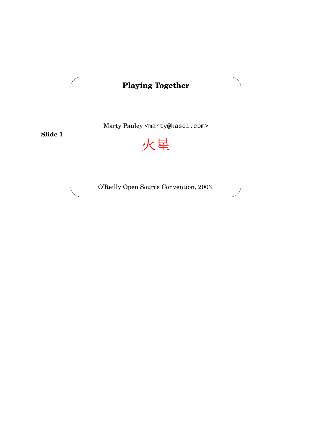

✫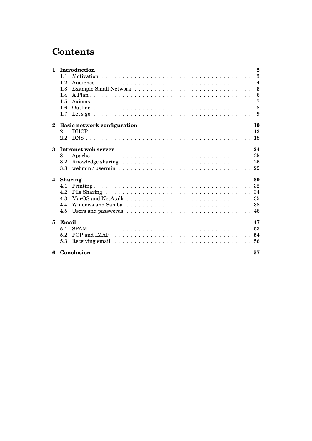## **Contents**

| $\mathbf{1}$ | Introduction<br>$\bf{2}$                                                                                                                                                                                                              |
|--------------|---------------------------------------------------------------------------------------------------------------------------------------------------------------------------------------------------------------------------------------|
|              | 3<br>11                                                                                                                                                                                                                               |
|              | $\overline{\mathcal{A}}$<br>12<br>Audience                                                                                                                                                                                            |
|              | 5<br>1.3                                                                                                                                                                                                                              |
|              | $6\phantom{1}6$<br>1.4                                                                                                                                                                                                                |
|              | 7<br>1.5                                                                                                                                                                                                                              |
|              | 8<br>1.6                                                                                                                                                                                                                              |
|              | 1.7<br>9                                                                                                                                                                                                                              |
| $\bf{2}$     | <b>Basic network configuration</b><br>10                                                                                                                                                                                              |
|              | 13<br>2.1                                                                                                                                                                                                                             |
|              | $2.2\phantom{0}$                                                                                                                                                                                                                      |
| 3            | Intranet web server<br>24                                                                                                                                                                                                             |
|              | 3.1                                                                                                                                                                                                                                   |
|              | $3.2\phantom{0}$                                                                                                                                                                                                                      |
|              | 3.3 <sub>2</sub>                                                                                                                                                                                                                      |
| 4            | <b>Sharing</b><br>30                                                                                                                                                                                                                  |
|              | 4.1                                                                                                                                                                                                                                   |
|              | 4.2                                                                                                                                                                                                                                   |
|              | 4.3                                                                                                                                                                                                                                   |
|              | 4.4                                                                                                                                                                                                                                   |
|              | 4.5                                                                                                                                                                                                                                   |
| 5            | Email<br>47                                                                                                                                                                                                                           |
|              | 53<br>5.1                                                                                                                                                                                                                             |
|              | POP and IMAP $\dots \dots \dots \dots \dots \dots \dots \dots \dots \dots \dots \dots \dots \dots 54$<br>5.2                                                                                                                          |
|              | Receiving email responses in the set of the set of the set of the set of the set of the set of the set of the set of the set of the set of the set of the set of the set of the set of the set of the set of the set of the se<br>5.3 |
| 6            | Conclusion<br>57                                                                                                                                                                                                                      |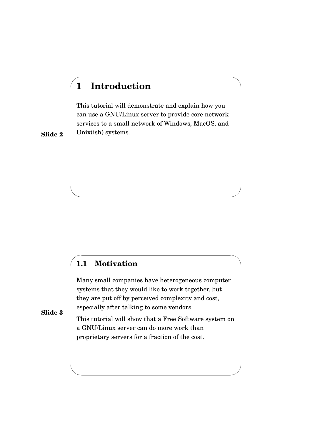## **1 Introduction**

✬

✫

✬

✫

This tutorial will demonstrate and explain how you can use a GNU/Linux server to provide core network services to a small network of Windows, MacOS, and Unix(ish) systems.

**Slide 2**

#### **1.1 Motivation**

Many small companies have heterogeneous computer systems that they would like to work together, but they are put off by perceived complexity and cost, especially after talking to some vendors.

**Slide 3**

This tutorial will show that a Free Software system on a GNU/Linux server can do more work than proprietary servers for a fraction of the cost.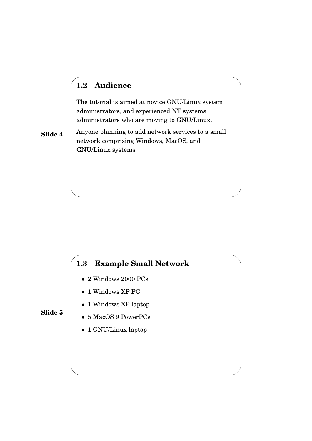## **1.2 Audience**

✬

✫

✬

✫

The tutorial is aimed at novice GNU/Linux system administrators, and experienced NT systems administrators who are moving to GNU/Linux.

**Slide 4** Anyone planning to add network services to a small network comprising Windows, MacOS, and GNU/Linux systems.

## **1.3 Example Small Network**

- 2 Windows 2000 PCs
- 1 Windows XP PC
- 1 Windows XP laptop

- 5 MacOS 9 PowerPCs
- 1 GNU/Linux laptop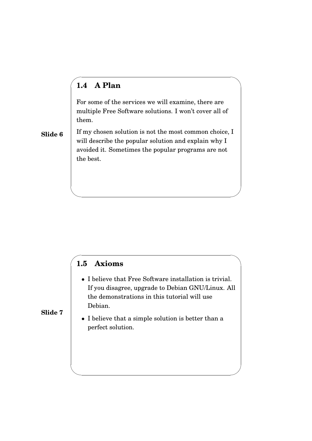## **1.4 A Plan**

✬

✫

✬

✫

For some of the services we will examine, there are multiple Free Software solutions. I won't cover all of them.

**Slide 6** If my chosen solution is not the most common choice, I will describe the popular solution and explain why I avoided it. Sometimes the popular programs are not the best.

### **1.5 Axioms**

- I believe that Free Software installation is trivial. If you disagree, upgrade to Debian GNU/Linux. All the demonstrations in this tutorial will use Debian.
- **Slide 7**
	- I believe that a simple solution is better than a perfect solution.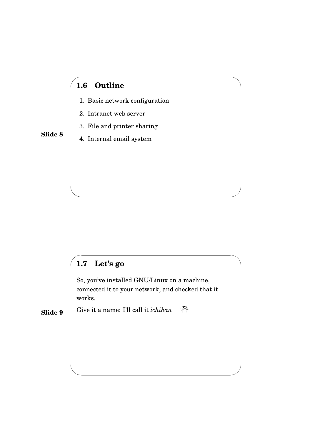## **1.6 Outline**

✬

✫

✬

✫

- 1. Basic network configuration
- 2. Intranet web server
- 3. File and printer sharing

#### **Slide 8**

4. Internal email system

# **1.7 Let's go**

So, you've installed GNU/Linux on a machine, connected it to your network, and checked that it works.

**Slide 9** Give it a name: I'll call it *ichiban*  $\rightarrow$   $\overline{\mathbb{B}}$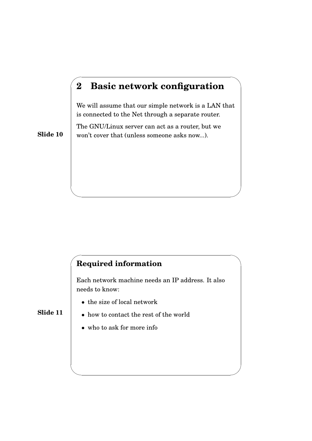## **2 Basic network configuration**

We will assume that our simple network is a LAN that is connected to the Net through a separate router.

The GNU/Linux server can act as a router, but we won't cover that (unless someone asks now...).

**Slide 10**

✬

✫

✬

✫

## **Required information**

Each network machine needs an IP address. It also needs to know:

- the size of local network
- **Slide 11**
- how to contact the rest of the world
- who to ask for more info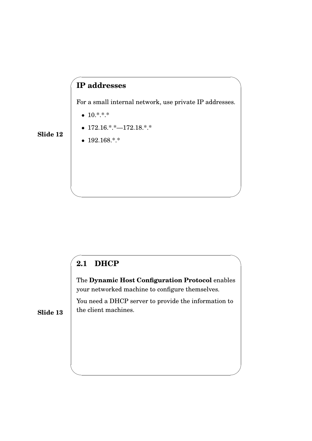## **IP addresses**

For a small internal network, use private IP addresses.

•  $10.*.*.*$ 

✬

✫

✬

✫

- $172.16.*.+$   $-172.18.*$
- $192.168.*.*$

## **2.1 DHCP**

The **Dynamic Host Configuration Protocol** enables your networked machine to configure themselves.

You need a DHCP server to provide the information to the client machines.

**Slide 13**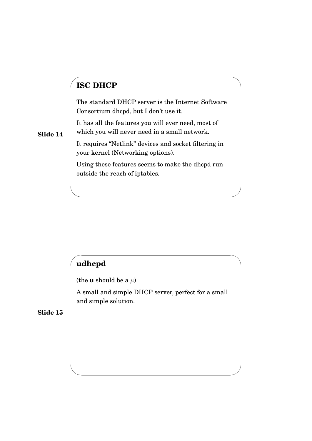## **ISC DHCP**

✬

✫

✬

✫

The standard DHCP server is the Internet Software Consortium dhcpd, but I don't use it.

It has all the features you will ever need, most of which you will never need in a small network.

It requires "Netlink" devices and socket filtering in your kernel (Networking options).

Using these features seems to make the dhcpd run outside the reach of iptables.

## **udhcpd**

(the **u** should be a  $\mu$ )

A small and simple DHCP server, perfect for a small and simple solution.

**Slide 15**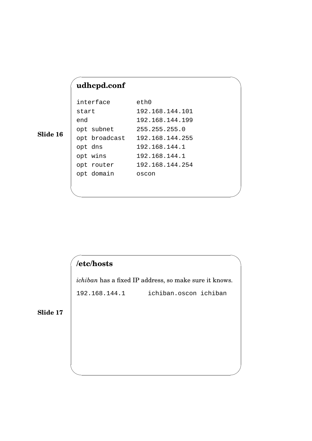## **udhcpd.conf**

✬

✫

✬

✫

| interface     | eth0            |
|---------------|-----------------|
| start         | 192.168.144.101 |
| end           | 192.168.144.199 |
| opt subnet    | 255.255.255.0   |
| opt broadcast | 192.168.144.255 |
| opt dns       | 192.168.144.1   |
| opt wins      | 192.168.144.1   |
| opt router    | 192.168.144.254 |
| opt domain    | oscon           |
|               |                 |

**Slide 16**

## **/etc/hosts**

*ichiban* has a fixed IP address, so make sure it knows.

192.168.144.1 ichiban.oscon ichiban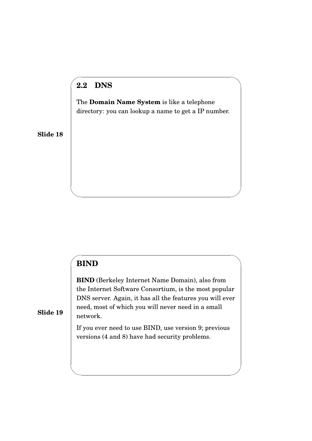## **2.2 DNS**

✬

The **Domain Name System** is like a telephone directory: you can lookup a name to get a IP number.

**Slide 18**

### **BIND**

✬

✫

✫

**BIND** (Berkeley Internet Name Domain), also from the Internet Software Consortium, is the most popular DNS server. Again, it has all the features you will ever need, most of which you will never need in a small network.

If you ever need to use BIND, use version 9; previous versions (4 and 8) have had security problems.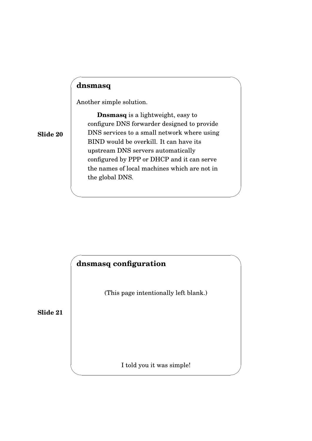#### **dnsmasq**

✬

✫

✬

✫

Another simple solution.

**Slide 20**

**Dnsmasq** is a lightweight, easy to configure DNS forwarder designed to provide DNS services to a small network where using BIND would be overkill. It can have its upstream DNS servers automatically configured by PPP or DHCP and it can serve the names of local machines which are not in the global DNS.

## **dnsmasq configuration**

(This page intentionally left blank.)

**Slide 21**

I told you it was simple!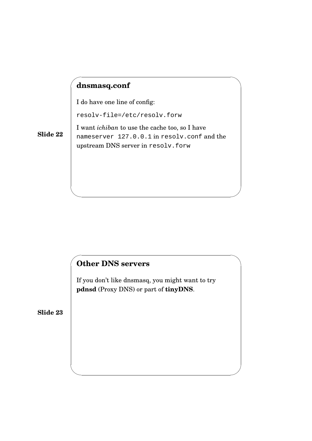## **dnsmasq.conf**

✬

✫

✬

✫

I do have one line of config:

resolv-file=/etc/resolv.forw

**Slide 22** I want *ichiban* to use the cache too, so I have nameserver 127.0.0.1 in resolv.conf and the upstream DNS server in resolv.forw

## **Other DNS servers**

If you don't like dnsmasq, you might want to try **pdnsd** (Proxy DNS) or part of **tinyDNS**.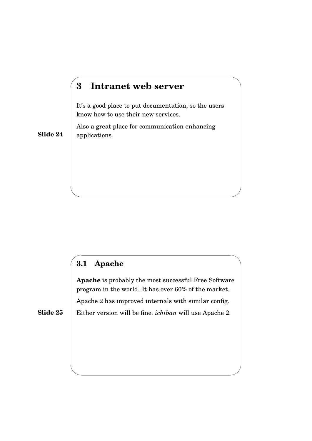## **3 Intranet web server**

It's a good place to put documentation, so the users know how to use their new services.

Also a great place for communication enhancing applications.

**Slide 24**

✬

✫

✬

✫

## **3.1 Apache**

**Apache** is probably the most successful Free Software program in the world. It has over 60% of the market. Apache 2 has improved internals with similar config. Either version will be fine. *ichiban* will use Apache 2.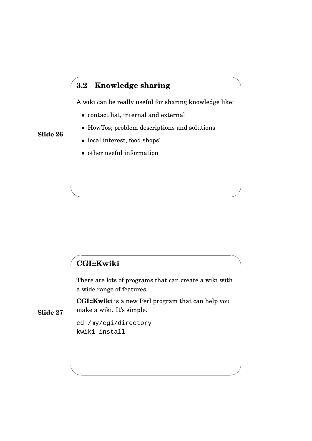## **3.2 Knowledge sharing**

A wiki can be really useful for sharing knowledge like:

- contact list, internal and external
- HowTos; problem descriptions and solutions
- local interest, food shops!
- other useful information

## **CGI::Kwiki**

There are lots of programs that can create a wiki with a wide range of features.

**CGI::Kwiki** is a new Perl program that can help you make a wiki. It's simple.

**Slide 27**

cd /my/cgi/directory kwiki-install

#### **Slide 26**

✬

✫

✬

✫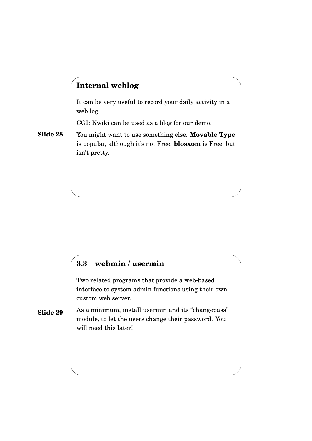## **Internal weblog**

✬

✫

✬

✫

It can be very useful to record your daily activity in a web log.

CGI::Kwiki can be used as a blog for our demo.

**Slide 28** You might want to use something else. **Movable Type** is popular, although it's not Free. **blosxom** is Free, but isn't pretty.

## **3.3 webmin / usermin**

Two related programs that provide a web-based interface to system admin functions using their own custom web server.

#### **Slide 29** As a minimum, install usermin and its "changepass" module, to let the users change their password. You will need this later!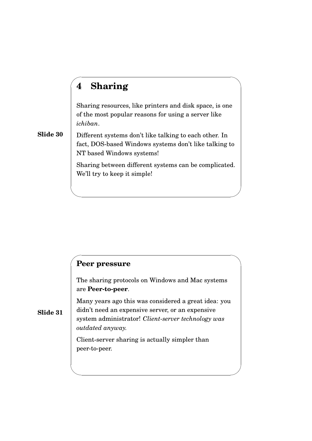## **4 Sharing**

✬

✫

✬

✫

Sharing resources, like printers and disk space, is one of the most popular reasons for using a server like *ichiban*.

**Slide 30** Different systems don't like talking to each other. In fact, DOS-based Windows systems don't like talking to NT based Windows systems!

> Sharing between different systems can be complicated. We'll try to keep it simple!

#### **Peer pressure**

The sharing protocols on Windows and Mac systems are **Peer-to-peer**.

Many years ago this was considered a great idea: you didn't need an expensive server, or an expensive system administrator! *Client-server technology was outdated anyway.*

Client-server sharing is actually simpler than peer-to-peer.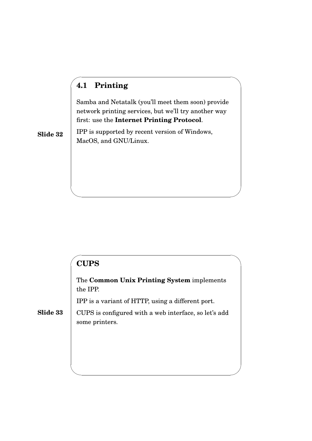## **4.1 Printing**

✬

Samba and Netatalk (you'll meet them soon) provide network printing services, but we'll try another way first: use the **Internet Printing Protocol**.

IPP is supported by recent version of Windows, MacOS, and GNU/Linux.

**Slide 32**

#### ✬ **CUPS**

✫

✫

The **Common Unix Printing System** implements the IPP.

IPP is a variant of HTTP, using a different port.

**Slide 33** CUPS is configured with a web interface, so let's add some printers.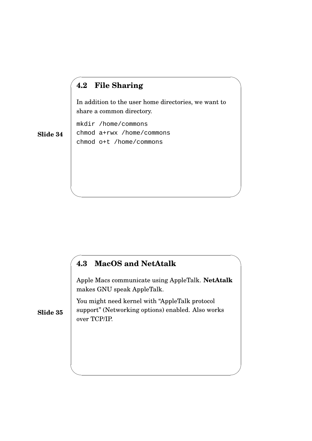## **4.2 File Sharing**

✬

✫

✬

✫

In addition to the user home directories, we want to share a common directory.

mkdir /home/commons chmod a+rwx /home/commons chmod o+t /home/commons

**Slide 34**

## **4.3 MacOS and NetAtalk**

Apple Macs communicate using AppleTalk. **NetAtalk** makes GNU speak AppleTalk.

You might need kernel with "AppleTalk protocol support" (Networking options) enabled. Also works over TCP/IP.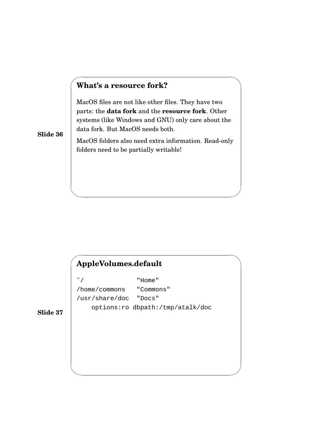#### **What's a resource fork?**

MacOS files are not like other files. They have two parts: the **data fork** and the **resource fork**. Other systems (like Windows and GNU) only care about the data fork. But MacOS needs both.

**Slide 36**

✬

✫

✬

✫

MacOS folders also need extra information. Read-only folders need to be partially writable!

## **AppleVolumes.default**

˜/ "Home" /home/commons "Commons" /usr/share/doc "Docs" options:ro dbpath:/tmp/atalk/doc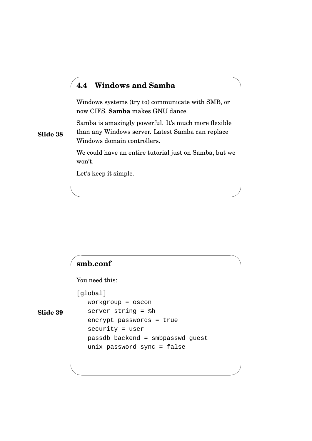#### **4.4 Windows and Samba**

Windows systems (try to) communicate with SMB, or now CIFS. **Samba** makes GNU dance.

Samba is amazingly powerful. It's much more flexible than any Windows server. Latest Samba can replace Windows domain controllers.

We could have an entire tutorial just on Samba, but we won't.

Let's keep it simple.

### **smb.conf**

You need this:

[global]

✫

✬

✫

**Slide 39**

**Slide 38**

✬

workgroup = oscon server string = %h encrypt passwords = true security = user passdb backend = smbpasswd guest unix password sync = false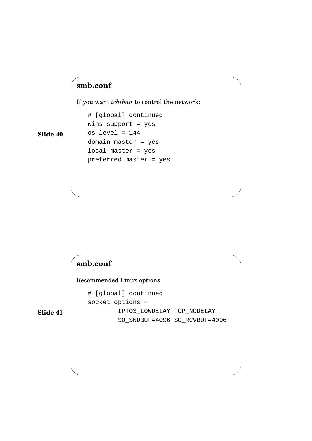## **smb.conf**

✬

✫

✬

✫

If you want *ichiban* to control the network:

**Slide 40**

# [global] continued wins support = yes os level = 144 domain master = yes local master = yes preferred master = yes

### **smb.conf**

Recommended Linux options:

# [global] continued socket options = IPTOS\_LOWDELAY TCP\_NODELAY SO\_SNDBUF=4096 SO\_RCVBUF=4096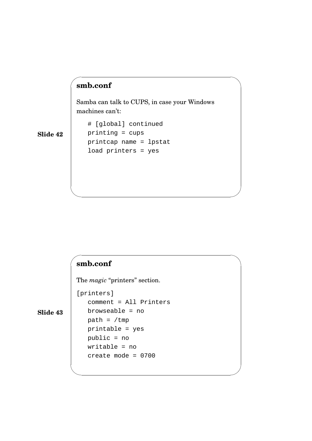## ✬ **smb.conf** Samba can talk to CUPS, in case your Windows machines can't: # [global] continued printing = cups printcap name = lpstat load printers = yes

**Slide 42**

## **smb.conf**

✫

 $\sim$ 

✫

The *magic* "printers" section.

[printers]

**Slide 43**

comment = All Printers browseable = no path =  $/\text{tmp}$ printable = yes public = no writable = no create mode = 0700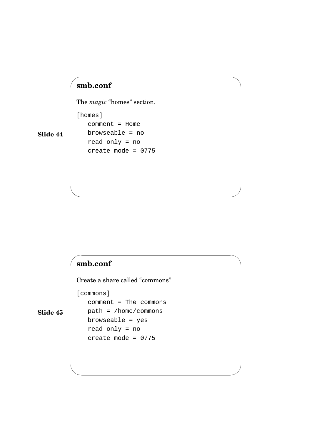## **smb.conf**

[homes]

✬

✫

 $\sim$ 

✫

The *magic* "homes" section.

**Slide 44**

comment = Home browseable = no read only = no create mode = 0775

### **smb.conf**

Create a share called "commons".

[commons]

**Slide 45**

comment = The commons path = /home/commons browseable = yes read only = no create mode = 0775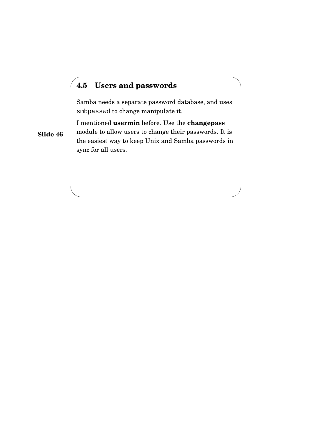## **4.5 Users and passwords**

Samba needs a separate password database, and uses smbpasswd to change manipulate it.

I mentioned **usermin** before. Use the **changepass** module to allow users to change their passwords. It is the easiest way to keep Unix and Samba passwords in sync for all users.

**Slide 46**

✬

✫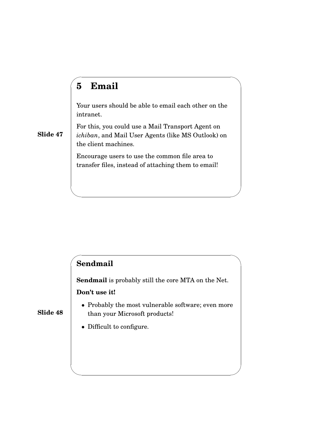## **5 Email**

✬

✫

 $\sim$ 

✫

Your users should be able to email each other on the intranet.

For this, you could use a Mail Transport Agent on *ichiban*, and Mail User Agents (like MS Outlook) on the client machines.

Encourage users to use the common file area to transfer files, instead of attaching them to email!

## **Sendmail**

**Sendmail** is probably still the core MTA on the Net.

#### **Don't use it!**

- Probably the most vulnerable software; even more than your Microsoft products!
- Difficult to configure.

**Slide 48**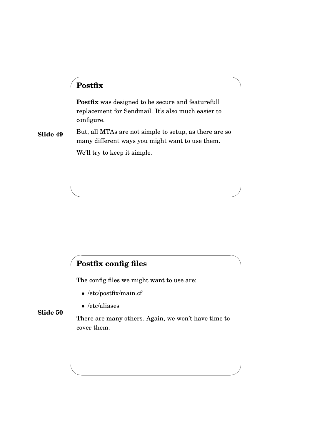## **Postfix**

✬

✫

 $\sim$ 

✫

**Postfix** was designed to be secure and featurefull replacement for Sendmail. It's also much easier to configure.

**Slide 49** But, all MTAs are not simple to setup, as there are so many different ways you might want to use them. We'll try to keep it simple.

## **Postfix config files**

The config files we might want to use are:

- /etc/postfix/main.cf
- /etc/aliases

**Slide 50**

There are many others. Again, we won't have time to cover them.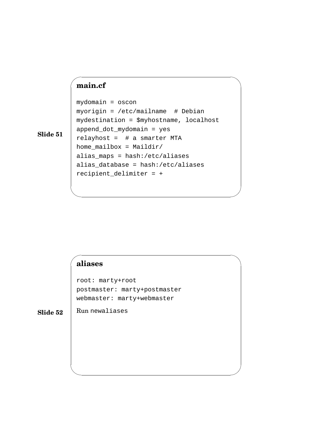## **main.cf**

✬

mydomain = oscon myorigin = /etc/mailname # Debian mydestination = \$myhostname, localhost append\_dot\_mydomain = yes relayhost = # a smarter MTA home mailbox = Maildir/ alias\_maps = hash:/etc/aliases alias\_database = hash:/etc/aliases recipient\_delimiter = +

**Slide 51**

#### **aliases**

Run newaliases

 $\sim$ 

✫

✫

root: marty+root postmaster: marty+postmaster webmaster: marty+webmaster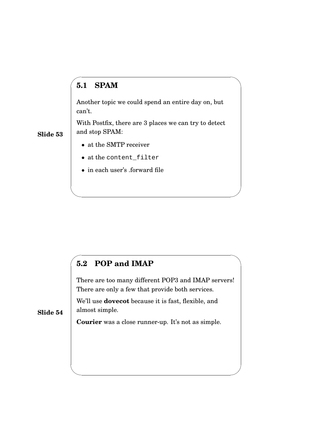## **5.1 SPAM**

✬

✫

 $\sim$ 

✫

Another topic we could spend an entire day on, but can't.

With Postfix, there are 3 places we can try to detect and stop SPAM:

- **Slide 53**
- at the SMTP receiver
- at the content\_filter
- in each user's .forward file

### **5.2 POP and IMAP**

There are too many different POP3 and IMAP servers! There are only a few that provide both services.

We'll use **dovecot** because it is fast, flexible, and almost simple.

**Courier** was a close runner-up. It's not as simple.

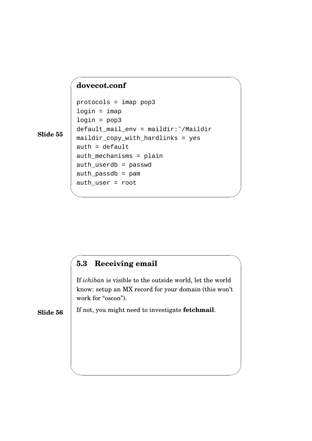#### **dovecot.conf**

✬

✫

✫

```
protocols = imap pop3
login = imaplogin = pop3
default_mail_env = maildir:˜/Maildir
maildir_copy_with_hardlinks = yes
auth = defaultauth_mechanisms = plain
auth_userdb = passwd
auth_passdb = pam
auth_user = root
```
**Slide 55**

#### $\sim$ **5.3 Receiving email**

If *ichiban* is visible to the outside world, let the world know: setup an MX record for your domain (this won't work for "oscon").

**Slide 56** If not, you might need to investigate **fetchmail**.